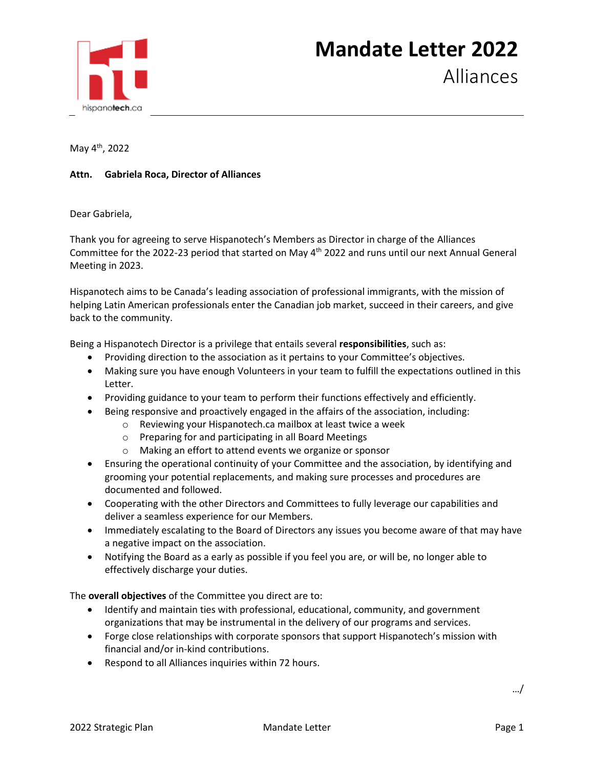

May 4th, 2022

## **Attn. Gabriela Roca, Director of Alliances**

Dear Gabriela,

Thank you for agreeing to serve Hispanotech's Members as Director in charge of the Alliances Committee for the 2022-23 period that started on May 4th 2022 and runs until our next Annual General Meeting in 2023.

Hispanotech aims to be Canada's leading association of professional immigrants, with the mission of helping Latin American professionals enter the Canadian job market, succeed in their careers, and give back to the community.

Being a Hispanotech Director is a privilege that entails several **responsibilities**, such as:

- Providing direction to the association as it pertains to your Committee's objectives.
- Making sure you have enough Volunteers in your team to fulfill the expectations outlined in this Letter.
- Providing guidance to your team to perform their functions effectively and efficiently.
- Being responsive and proactively engaged in the affairs of the association, including:
	- o Reviewing your Hispanotech.ca mailbox at least twice a week
	- o Preparing for and participating in all Board Meetings
	- o Making an effort to attend events we organize or sponsor
- Ensuring the operational continuity of your Committee and the association, by identifying and grooming your potential replacements, and making sure processes and procedures are documented and followed.
- Cooperating with the other Directors and Committees to fully leverage our capabilities and deliver a seamless experience for our Members.
- Immediately escalating to the Board of Directors any issues you become aware of that may have a negative impact on the association.
- Notifying the Board as a early as possible if you feel you are, or will be, no longer able to effectively discharge your duties.

The **overall objectives** of the Committee you direct are to:

- Identify and maintain ties with professional, educational, community, and government organizations that may be instrumental in the delivery of our programs and services.
- Forge close relationships with corporate sponsors that support Hispanotech's mission with financial and/or in-kind contributions.
- Respond to all Alliances inquiries within 72 hours.